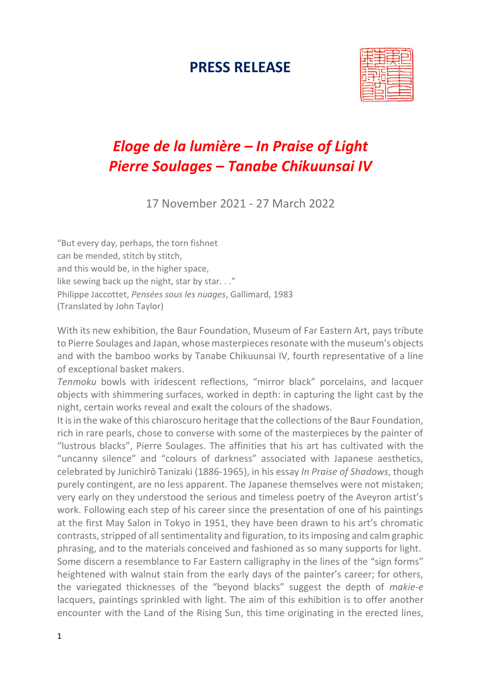# **PRESS RELEASE**



# *Eloge de la lumière – In Praise of Light Pierre Soulages – Tanabe Chikuunsai IV*

17 November 2021 - 27 March 2022

"But every day, perhaps, the torn fishnet can be mended, stitch by stitch, and this would be, in the higher space, like sewing back up the night, star by star. . ." Philippe Jaccottet, *Pensées sous les nuages*, Gallimard, 1983 (Translated by John Taylor)

With its new exhibition, the Baur Foundation, Museum of Far Eastern Art, pays tribute to Pierre Soulages and Japan, whose masterpieces resonate with the museum's objects and with the bamboo works by Tanabe Chikuunsai IV, fourth representative of a line of exceptional basket makers.

*Tenmoku* bowls with iridescent reflections, "mirror black" porcelains, and lacquer objects with shimmering surfaces, worked in depth: in capturing the light cast by the night, certain works reveal and exalt the colours of the shadows.

It is in the wake of this chiaroscuro heritage that the collections of the Baur Foundation, rich in rare pearls, chose to converse with some of the masterpieces by the painter of "lustrous blacks", Pierre Soulages. The affinities that his art has cultivated with the "uncanny silence" and "colours of darkness" associated with Japanese aesthetics, celebrated by Junichirō Tanizaki (1886-1965), in his essay *In Praise of Shadows*, though purely contingent, are no less apparent. The Japanese themselves were not mistaken; very early on they understood the serious and timeless poetry of the Aveyron artist's work. Following each step of his career since the presentation of one of his paintings at the first May Salon in Tokyo in 1951, they have been drawn to his art's chromatic contrasts, stripped of all sentimentality and figuration, to its imposing and calm graphic phrasing, and to the materials conceived and fashioned as so many supports for light. Some discern a resemblance to Far Eastern calligraphy in the lines of the "sign forms" heightened with walnut stain from the early days of the painter's career; for others, the variegated thicknesses of the "beyond blacks" suggest the depth of *makie-e* lacquers, paintings sprinkled with light. The aim of this exhibition is to offer another encounter with the Land of the Rising Sun, this time originating in the erected lines,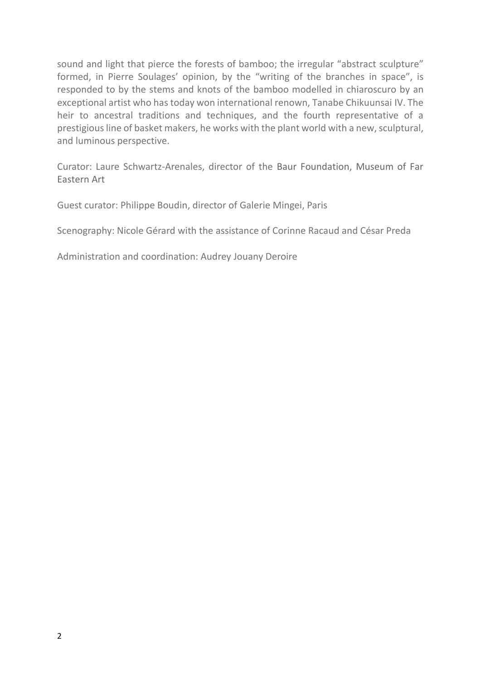sound and light that pierce the forests of bamboo; the irregular "abstract sculpture" formed, in Pierre Soulages' opinion, by the "writing of the branches in space", is responded to by the stems and knots of the bamboo modelled in chiaroscuro by an exceptional artist who has today won international renown, Tanabe Chikuunsai IV. The heir to ancestral traditions and techniques, and the fourth representative of a prestigious line of basket makers, he works with the plant world with a new, sculptural, and luminous perspective.

Curator: Laure Schwartz-Arenales, director of the Baur Foundation, Museum of Far Eastern Art

Guest curator: Philippe Boudin, director of Galerie Mingei, Paris

Scenography: Nicole Gérard with the assistance of Corinne Racaud and César Preda

Administration and coordination: Audrey Jouany Deroire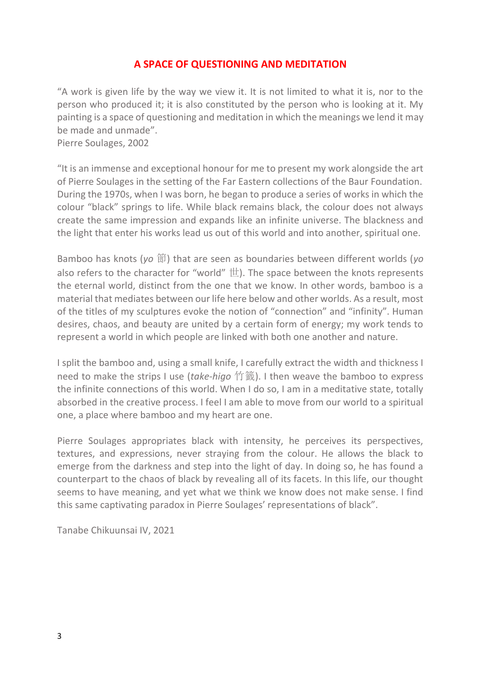### **A SPACE OF QUESTIONING AND MEDITATION**

"A work is given life by the way we view it. It is not limited to what it is, nor to the person who produced it; it is also constituted by the person who is looking at it. My painting is a space of questioning and meditation in which the meanings we lend it may be made and unmade".

Pierre Soulages, 2002

"It is an immense and exceptional honour for me to present my work alongside the art of Pierre Soulages in the setting of the Far Eastern collections of the Baur Foundation. During the 1970s, when I was born, he began to produce a series of works in which the colour "black" springs to life. While black remains black, the colour does not always create the same impression and expands like an infinite universe. The blackness and the light that enter his works lead us out of this world and into another, spiritual one.

Bamboo has knots (*yo* 節) that are seen as boundaries between different worlds (*yo* also refers to the character for "world"  $\boxplus$ ). The space between the knots represents the eternal world, distinct from the one that we know. In other words, bamboo is a material that mediates between our life here below and other worlds. As a result, most of the titles of my sculptures evoke the notion of "connection" and "infinity". Human desires, chaos, and beauty are united by a certain form of energy; my work tends to represent a world in which people are linked with both one another and nature.

I split the bamboo and, using a small knife, I carefully extract the width and thickness I need to make the strips I use (*take-higo* 竹籤). I then weave the bamboo to express the infinite connections of this world. When I do so, I am in a meditative state, totally absorbed in the creative process. I feel I am able to move from our world to a spiritual one, a place where bamboo and my heart are one.

Pierre Soulages appropriates black with intensity, he perceives its perspectives, textures, and expressions, never straying from the colour. He allows the black to emerge from the darkness and step into the light of day. In doing so, he has found a counterpart to the chaos of black by revealing all of its facets. In this life, our thought seems to have meaning, and yet what we think we know does not make sense. I find this same captivating paradox in Pierre Soulages' representations of black".

Tanabe Chikuunsai IV, 2021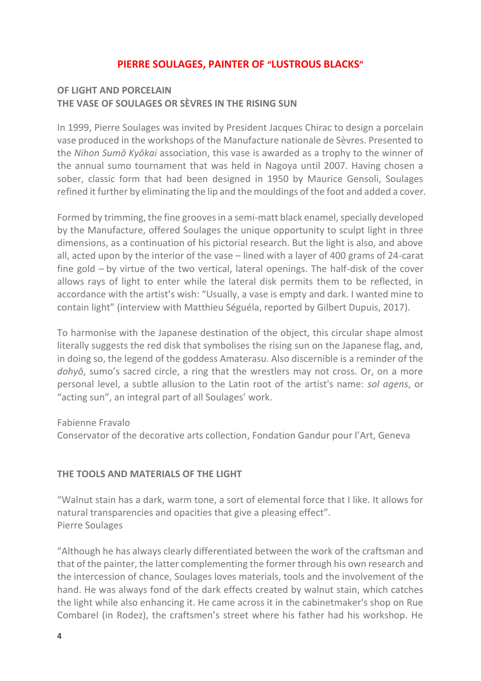#### **PIERRE SOULAGES, PAINTER OF "LUSTROUS BLACKS"**

#### **OF LIGHT AND PORCELAIN THE VASE OF SOULAGES OR SÈVRES IN THE RISING SUN**

In 1999, Pierre Soulages was invited by President Jacques Chirac to design a porcelain vase produced in the workshops of the Manufacture nationale de Sèvres. Presented to the *Nihon Sumō Kyōkai* association, this vase is awarded as a trophy to the winner of the annual sumo tournament that was held in Nagoya until 2007. Having chosen a sober, classic form that had been designed in 1950 by Maurice Gensoli, Soulages refined it further by eliminating the lip and the mouldings of the foot and added a cover.

Formed by trimming, the fine grooves in a semi-matt black enamel, specially developed by the Manufacture, offered Soulages the unique opportunity to sculpt light in three dimensions, as a continuation of his pictorial research. But the light is also, and above all, acted upon by the interior of the vase – lined with a layer of 400 grams of 24-carat fine gold – by virtue of the two vertical, lateral openings. The half-disk of the cover allows rays of light to enter while the lateral disk permits them to be reflected, in accordance with the artist's wish: "Usually, a vase is empty and dark. I wanted mine to contain light" (interview with Matthieu Séguéla, reported by Gilbert Dupuis, 2017).

To harmonise with the Japanese destination of the object, this circular shape almost literally suggests the red disk that symbolises the rising sun on the Japanese flag, and, in doing so, the legend of the goddess Amaterasu. Also discernible is a reminder of the *dohyō*, sumo's sacred circle, a ring that the wrestlers may not cross. Or, on a more personal level, a subtle allusion to the Latin root of the artist's name: *sol agens*, or "acting sun", an integral part of all Soulages' work.

Fabienne Fravalo

Conservator of the decorative arts collection, Fondation Gandur pour l'Art, Geneva

#### **THE TOOLS AND MATERIALS OF THE LIGHT**

"Walnut stain has a dark, warm tone, a sort of elemental force that I like. It allows for natural transparencies and opacities that give a pleasing effect". Pierre Soulages

"Although he has always clearly differentiated between the work of the craftsman and that of the painter, the latter complementing the former through his own research and the intercession of chance, Soulages loves materials, tools and the involvement of the hand. He was always fond of the dark effects created by walnut stain, which catches the light while also enhancing it. He came across it in the cabinetmaker's shop on Rue Combarel (in Rodez), the craftsmen's street where his father had his workshop. He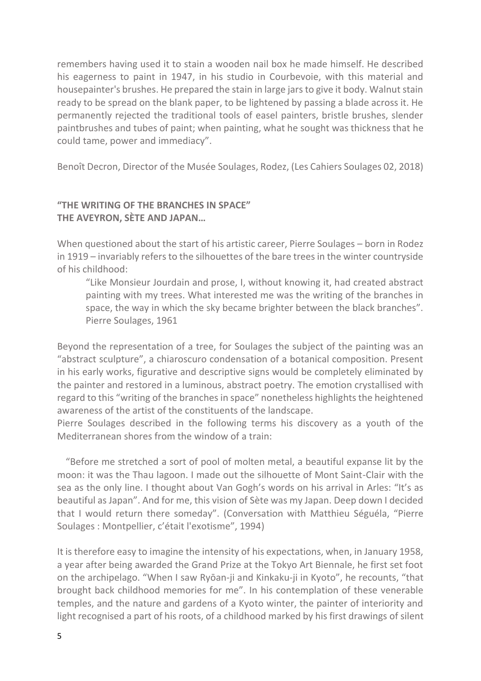remembers having used it to stain a wooden nail box he made himself. He described his eagerness to paint in 1947, in his studio in Courbevoie, with this material and housepainter's brushes. He prepared the stain in large jars to give it body. Walnut stain ready to be spread on the blank paper, to be lightened by passing a blade across it. He permanently rejected the traditional tools of easel painters, bristle brushes, slender paintbrushes and tubes of paint; when painting, what he sought was thickness that he could tame, power and immediacy".

Benoît Decron, Director of the Musée Soulages, Rodez, (Les Cahiers Soulages 02, 2018)

#### **"THE WRITING OF THE BRANCHES IN SPACE" THE AVEYRON, SÈTE AND JAPAN…**

When questioned about the start of his artistic career, Pierre Soulages – born in Rodez in 1919 – invariably refers to the silhouettes of the bare trees in the winter countryside of his childhood:

"Like Monsieur Jourdain and prose, I, without knowing it, had created abstract painting with my trees. What interested me was the writing of the branches in space, the way in which the sky became brighter between the black branches". Pierre Soulages, 1961

Beyond the representation of a tree, for Soulages the subject of the painting was an "abstract sculpture", a chiaroscuro condensation of a botanical composition. Present in his early works, figurative and descriptive signs would be completely eliminated by the painter and restored in a luminous, abstract poetry. The emotion crystallised with regard to this "writing of the branches in space" nonetheless highlights the heightened awareness of the artist of the constituents of the landscape.

Pierre Soulages described in the following terms his discovery as a youth of the Mediterranean shores from the window of a train:

"Before me stretched a sort of pool of molten metal, a beautiful expanse lit by the moon: it was the Thau lagoon. I made out the silhouette of Mont Saint-Clair with the sea as the only line. I thought about Van Gogh's words on his arrival in Arles: "It's as beautiful as Japan". And for me, this vision of Sète was my Japan. Deep down I decided that I would return there someday". (Conversation with Matthieu Séguéla, "Pierre Soulages : Montpellier, c'était l'exotisme", 1994)

It is therefore easy to imagine the intensity of his expectations, when, in January 1958, a year after being awarded the Grand Prize at the Tokyo Art Biennale, he first set foot on the archipelago. "When I saw Ryōan-ji and Kinkaku-ji in Kyoto", he recounts, "that brought back childhood memories for me". In his contemplation of these venerable temples, and the nature and gardens of a Kyoto winter, the painter of interiority and light recognised a part of his roots, of a childhood marked by his first drawings of silent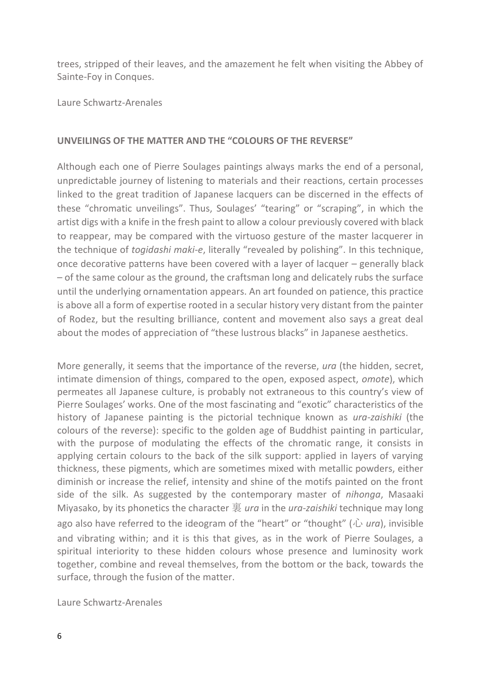trees, stripped of their leaves, and the amazement he felt when visiting the Abbey of Sainte-Foy in Conques.

Laure Schwartz-Arenales

#### **UNVEILINGS OF THE MATTER AND THE "COLOURS OF THE REVERSE"**

Although each one of Pierre Soulages paintings always marks the end of a personal, unpredictable journey of listening to materials and their reactions, certain processes linked to the great tradition of Japanese lacquers can be discerned in the effects of these "chromatic unveilings". Thus, Soulages' "tearing" or "scraping", in which the artist digs with a knife in the fresh paint to allow a colour previously covered with black to reappear, may be compared with the virtuoso gesture of the master lacquerer in the technique of *togidashi maki-e*, literally "revealed by polishing". In this technique, once decorative patterns have been covered with a layer of lacquer – generally black – of the same colour as the ground, the craftsman long and delicately rubs the surface until the underlying ornamentation appears. An art founded on patience, this practice is above all a form of expertise rooted in a secular history very distant from the painter of Rodez, but the resulting brilliance, content and movement also says a great deal about the modes of appreciation of "these lustrous blacks" in Japanese aesthetics.

More generally, it seems that the importance of the reverse, *ura* (the hidden, secret, intimate dimension of things, compared to the open, exposed aspect, *omote*), which permeates all Japanese culture, is probably not extraneous to this country's view of Pierre Soulages' works. One of the most fascinating and "exotic" characteristics of the history of Japanese painting is the pictorial technique known as *ura-zaishiki* (the colours of the reverse): specific to the golden age of Buddhist painting in particular, with the purpose of modulating the effects of the chromatic range, it consists in applying certain colours to the back of the silk support: applied in layers of varying thickness, these pigments, which are sometimes mixed with metallic powders, either diminish or increase the relief, intensity and shine of the motifs painted on the front side of the silk. As suggested by the contemporary master of *nihonga*, Masaaki Miyasako, by its phonetics the character 裏 *ura* in the *ura-zaishiki* technique may long ago also have referred to the ideogram of the "heart" or "thought" (心 *ura*), invisible and vibrating within; and it is this that gives, as in the work of Pierre Soulages, a spiritual interiority to these hidden colours whose presence and luminosity work together, combine and reveal themselves, from the bottom or the back, towards the surface, through the fusion of the matter.

Laure Schwartz-Arenales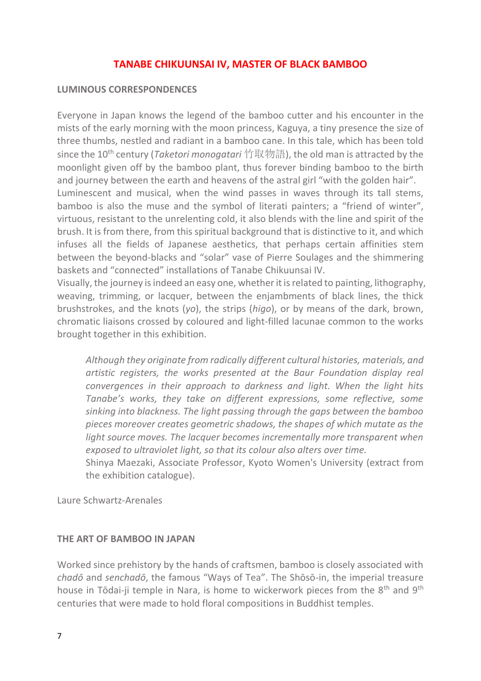#### **TANABE CHIKUUNSAI IV, MASTER OF BLACK BAMBOO**

#### **LUMINOUS CORRESPONDENCES**

Everyone in Japan knows the legend of the bamboo cutter and his encounter in the mists of the early morning with the moon princess, Kaguya, a tiny presence the size of three thumbs, nestled and radiant in a bamboo cane. In this tale, which has been told since the 10th century (*Taketori monogatari* 竹取物語), the old man is attracted by the moonlight given off by the bamboo plant, thus forever binding bamboo to the birth and journey between the earth and heavens of the astral girl "with the golden hair". Luminescent and musical, when the wind passes in waves through its tall stems,

bamboo is also the muse and the symbol of literati painters; a "friend of winter", virtuous, resistant to the unrelenting cold, it also blends with the line and spirit of the brush. It is from there, from this spiritual background that is distinctive to it, and which infuses all the fields of Japanese aesthetics, that perhaps certain affinities stem between the beyond-blacks and "solar" vase of Pierre Soulages and the shimmering baskets and "connected" installations of Tanabe Chikuunsai IV.

Visually, the journey is indeed an easy one, whether it is related to painting, lithography, weaving, trimming, or lacquer, between the enjambments of black lines, the thick brushstrokes, and the knots (*yo*), the strips (*higo*), or by means of the dark, brown, chromatic liaisons crossed by coloured and light-filled lacunae common to the works brought together in this exhibition.

*Although they originate from radically different cultural histories, materials, and artistic registers, the works presented at the Baur Foundation display real convergences in their approach to darkness and light. When the light hits Tanabe's works, they take on different expressions, some reflective, some sinking into blackness. The light passing through the gaps between the bamboo pieces moreover creates geometric shadows, the shapes of which mutate as the light source moves. The lacquer becomes incrementally more transparent when exposed to ultraviolet light, so that its colour also alters over time.*

Shinya Maezaki, Associate Professor, Kyoto Women's University (extract from the exhibition catalogue).

Laure Schwartz-Arenales

#### **THE ART OF BAMBOO IN JAPAN**

Worked since prehistory by the hands of craftsmen, bamboo is closely associated with *chadō* and *senchadō*, the famous "Ways of Tea". The Shōsō-in, the imperial treasure house in Tōdai-ji temple in Nara, is home to wickerwork pieces from the 8<sup>th</sup> and 9<sup>th</sup> centuries that were made to hold floral compositions in Buddhist temples.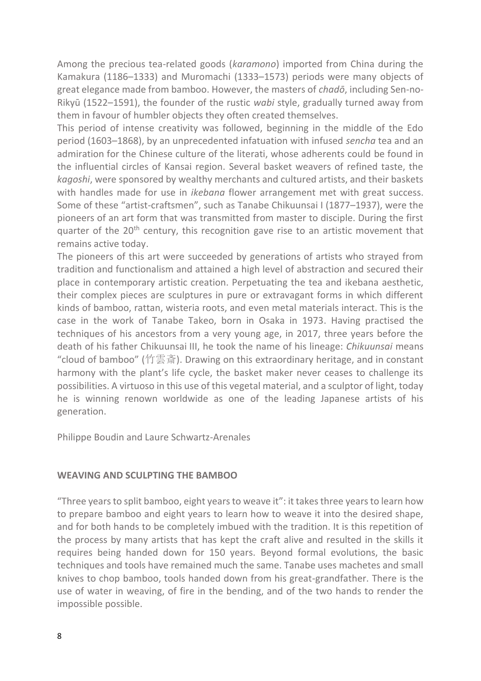Among the precious tea-related goods (*karamono*) imported from China during the Kamakura (1186–1333) and Muromachi (1333–1573) periods were many objects of great elegance made from bamboo. However, the masters of *chadō*, including Sen-no-Rikyū (1522–1591), the founder of the rustic *wabi* style, gradually turned away from them in favour of humbler objects they often created themselves.

This period of intense creativity was followed, beginning in the middle of the Edo period (1603–1868), by an unprecedented infatuation with infused *sencha* tea and an admiration for the Chinese culture of the literati, whose adherents could be found in the influential circles of Kansai region. Several basket weavers of refined taste, the *kagoshi*, were sponsored by wealthy merchants and cultured artists, and their baskets with handles made for use in *ikebana* flower arrangement met with great success. Some of these "artist-craftsmen", such as Tanabe Chikuunsai I (1877–1937), were the pioneers of an art form that was transmitted from master to disciple. During the first quarter of the  $20<sup>th</sup>$  century, this recognition gave rise to an artistic movement that remains active today.

The pioneers of this art were succeeded by generations of artists who strayed from tradition and functionalism and attained a high level of abstraction and secured their place in contemporary artistic creation. Perpetuating the tea and ikebana aesthetic, their complex pieces are sculptures in pure or extravagant forms in which different kinds of bamboo, rattan, wisteria roots, and even metal materials interact. This is the case in the work of Tanabe Takeo, born in Osaka in 1973. Having practised the techniques of his ancestors from a very young age, in 2017, three years before the death of his father Chikuunsai III, he took the name of his lineage: *Chikuunsai* means "cloud of bamboo" (竹雲斎). Drawing on this extraordinary heritage, and in constant harmony with the plant's life cycle, the basket maker never ceases to challenge its possibilities. A virtuoso in this use of this vegetal material, and a sculptor of light, today he is winning renown worldwide as one of the leading Japanese artists of his generation.

Philippe Boudin and Laure Schwartz-Arenales

#### **WEAVING AND SCULPTING THE BAMBOO**

"Three years to split bamboo, eight years to weave it": it takes three years to learn how to prepare bamboo and eight years to learn how to weave it into the desired shape, and for both hands to be completely imbued with the tradition. It is this repetition of the process by many artists that has kept the craft alive and resulted in the skills it requires being handed down for 150 years. Beyond formal evolutions, the basic techniques and tools have remained much the same. Tanabe uses machetes and small knives to chop bamboo, tools handed down from his great-grandfather. There is the use of water in weaving, of fire in the bending, and of the two hands to render the impossible possible.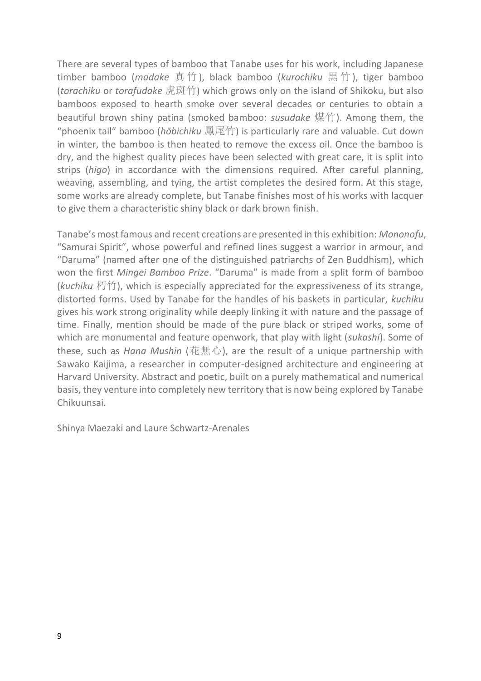There are several types of bamboo that Tanabe uses for his work, including Japanese timber bamboo (*madake* 真竹 ), black bamboo (*kurochiku* 黒 竹), tiger bamboo (*torachiku* or *torafudake* 虎斑竹) which grows only on the island of Shikoku, but also bamboos exposed to hearth smoke over several decades or centuries to obtain a beautiful brown shiny patina (smoked bamboo: *susudake* 煤竹). Among them, the "phoenix tail" bamboo (*hōbichiku* 鳳尾竹) is particularly rare and valuable. Cut down in winter, the bamboo is then heated to remove the excess oil. Once the bamboo is dry, and the highest quality pieces have been selected with great care, it is split into strips (*higo*) in accordance with the dimensions required. After careful planning, weaving, assembling, and tying, the artist completes the desired form. At this stage, some works are already complete, but Tanabe finishes most of his works with lacquer to give them a characteristic shiny black or dark brown finish.

Tanabe's most famous and recent creations are presented in this exhibition: *Mononofu*, "Samurai Spirit", whose powerful and refined lines suggest a warrior in armour, and "Daruma" (named after one of the distinguished patriarchs of Zen Buddhism), which won the first *Mingei Bamboo Prize*. "Daruma" is made from a split form of bamboo (*kuchiku* 朽竹), which is especially appreciated for the expressiveness of its strange, distorted forms. Used by Tanabe for the handles of his baskets in particular, *kuchiku* gives his work strong originality while deeply linking it with nature and the passage of time. Finally, mention should be made of the pure black or striped works, some of which are monumental and feature openwork, that play with light (*sukashi*). Some of these, such as *Hana Mushin* (花無心), are the result of a unique partnership with Sawako Kaijima, a researcher in computer-designed architecture and engineering at Harvard University. Abstract and poetic, built on a purely mathematical and numerical basis, they venture into completely new territory that is now being explored by Tanabe Chikuunsai.

Shinya Maezaki and Laure Schwartz-Arenales